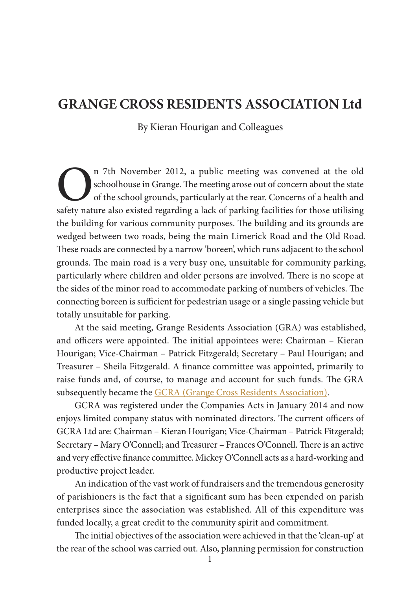## **GRANGE CROSS RESIDENTS ASSOCIATION Ltd**

<span id="page-0-0"></span>By Kieran Hourigan and Colleagues

The November 2012, a public meeting was convened at the old schoolhouse in Grange. The meeting arose out of concern about the state of the school grounds, particularly at the rear. Concerns of a health and safety nature al schoolhouse in Grange. The meeting arose out of concern about the state of the school grounds, particularly at the rear. Concerns of a health and safety nature also existed regarding a lack of parking facilities for those utilising the building for various community purposes. The building and its grounds are wedged between two roads, being the main Limerick Road and the Old Road. These roads are connected by a narrow 'boreen', which runs adjacent to the school grounds. The main road is a very busy one, unsuitable for community parking, particularly where children and older persons are involved. There is no scope at the sides of the minor road to accommodate parking of numbers of vehicles. The connecting boreen is sufficient for pedestrian usage or a single passing vehicle but totally unsuitable for parking.

At the said meeting, Grange Residents Association (GRA) was established, and officers were appointed. The initial appointees were: Chairman – Kieran Hourigan; Vice-Chairman – Patrick Fitzgerald; Secretary – Paul Hourigan; and Treasurer – Sheila Fitzgerald. A fnance committee was appointed, primarily to raise funds and, of course, to manage and account for such funds. The GRA subsequently became the GCRA (Grange Cross Residents [Association\).](https://www.facebook.com/Grange-Cross-Residents-Association-Limited-163415363833291/?hc_ref=PAGES_TIMELINE&fref=nf)

GCRA was registered under the Companies Acts in January 2014 and now enjoys limited company status with nominated directors. The current officers of GCRA Ltd are: Chairman – Kieran Hourigan; Vice-Chairman – Patrick Fitzgerald; Secretary - Mary O'Connell; and Treasurer - Frances O'Connell. There is an active and very efective fnance committee. Mickey O'Connell acts as a hard-working and productive project leader.

An indication of the vast work of fundraisers and the tremendous generosity of parishioners is the fact that a signifcant sum has been expended on parish enterprises since the association was established. All of this expenditure was funded locally, a great credit to the community spirit and commitment.

The initial objectives of the association were achieved in that the 'clean-up' at the rear of the school was carried out. Also, planning permission for construction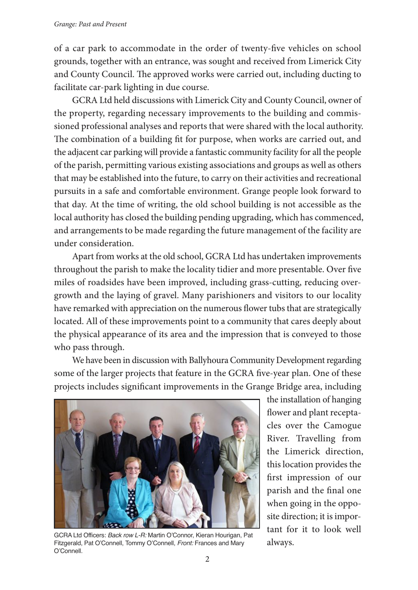of a car park to accommodate in the order of twenty-fve vehicles on school grounds, together with an entrance, was sought and received from Limerick City and County Council. The approved works were carried out, including ducting to facilitate car-park lighting in due course.

GCRALtd held discussions with Limerick City and County Council, owner of the property, regarding necessary improvements to the building and commissioned professional analyses and reports that were shared with the local authority. The combination of a building fit for purpose, when works are carried out, and the adjacent car parkingwill provide a fantastic community facility for all the people of the parish, permitting various existing associations and groups as well as others that may be established into the future, to carry on their activities and recreational pursuits in a safe and comfortable environment. Grange people look forward to that day. At the time of writing, the old school building is not accessible as the local authority has closed the building pending upgrading, which has commenced, and arrangements to be made regarding the future management of the facility are under consideration.

Apart from works at the old school, GCRA Ltd has undertaken improvements throughout the parish to make the locality tidier and more presentable. Over fve miles of roadsides have been improved, including grass-cutting, reducing overgrowth and the laying of gravel. Many parishioners and visitors to our locality have remarked with appreciation on the numerous flower tubs that are strategically located. All of these improvements point to a community that cares deeply about the physical appearance of its area and the impression that is conveyed to those who pass through.

We have been in discussion with Ballyhoura Community Development regarding some of the larger projects that feature in the GCRA fve-year plan. One of these projects includes signifcant improvements in the Grange Bridge area, including



GCRA Ltd Officers: *Back row L-R:* Martin O'Connor, Kieran Hourigan, Pat<br>Fitzgerald, Pat O'Connell, Tommy O'Connell*, Front:* Frances and Mary a $1$ W $a$ ys**.** O'Connell.

the installation of hanging flower and plant receptacles over the Camogue River. Travelling from the Limerick direction, this location provides the frst impression of our parish and the fnal one when going in the opposite direction; it is important for it to look well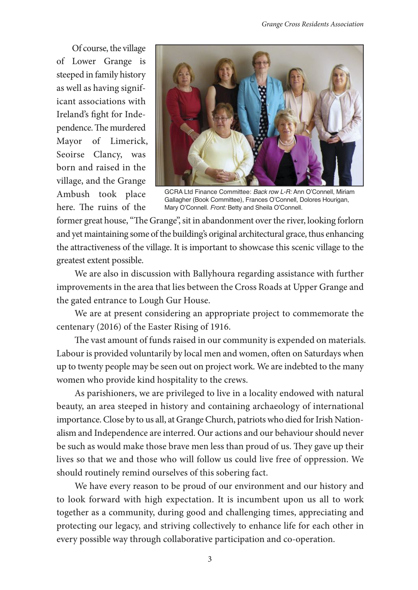Of course, the village of Lower Grange is steeped in family history as well as having significant associations with Ireland's fght for Independence. The murdered Mayor of Limerick, Seoirse Clancy, was born and raised in the village, and the Grange Ambush took place here. The ruins of the



GCRA Ltd Finance Committee: Back row L-R: Ann O'Connell, Miriam Gallagher (Book Committee), Frances O'Connell, Dolores Hourigan, Mary O'Connell. Front: Betty and Sheila O'Connell.

former great house, "The Grange", sit in abandonment over the river, looking forlorn and yet maintaining some of the building's original architectural grace, thus enhancing the attractiveness of the village. It is important to showcase this scenic village to the greatest extent possible.

We are also in discussion with Ballyhoura regarding assistance with further improvements in the area that lies between the Cross Roads at Upper Grange and the gated entrance to Lough Gur House.

We are at present considering an appropriate project to commemorate the centenary (2016) of the Easter Rising of 1916.

The vast amount of funds raised in our community is expended on materials. Labour is provided voluntarily by local men and women, often on Saturdays when up to twenty people may be seen out on project work. We are indebted to the many women who provide kind hospitality to the crews.

As parishioners, we are privileged to live in a locality endowed with natural beauty, an area steeped in history and containing archaeology of international importance. Close by to us all, at Grange Church, patriots who died for Irish Nationalism and Independence are interred. Our actions and our behaviour should never be such as would make those brave men less than proud of us. They gave up their lives so that we and those who will follow us could live free of oppression. We should routinely remind ourselves of this sobering fact.

We have every reason to be proud of our environment and our history and to look forward with high expectation. It is incumbent upon us all to work together as a community, during good and challenging times, appreciating and protecting our legacy, and striving collectively to enhance life for each other in every possible way through collaborative participation and co-operation.